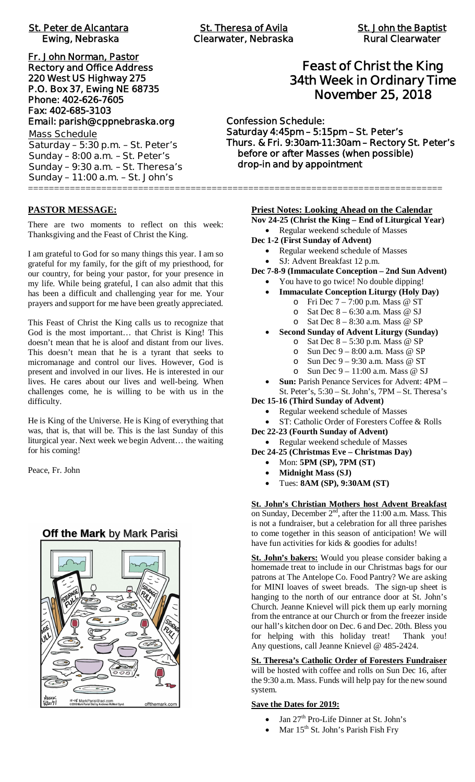| <b>St. Peter de Alcantara</b> |  |  |
|-------------------------------|--|--|
| <b>Ewing, Nebraska</b>        |  |  |

**Fr. John Norman, Pastor Rectory and Office Address 220 West US Highway 275 P.O. Box 37, Ewing NE 68735 Phone: 402-626-7605 Fax: 402-685-3103 Email: parish@cppnebraska.org Mass Schedule Saturday – 5:30 p.m. – St. Peter's Sunday – 8:00 a.m. – St. Peter's Sunday – 9:30 a.m. – St. Theresa's Sunday – 11:00 a.m. – St. John's** ===============================================================================

# **Feast of Christ the King 34th Week in Ordinary Time November 25, 2018**

**Confession Schedule: Saturday 4:45pm – 5:15pm – St. Peter's Thurs. & Fri. 9:30am-11:30am – Rectory St. Peter's before or after Masses (when possible) drop-in and by appointment**

# **PASTOR MESSAGE:**

There are two moments to reflect on this week: Thanksgiving and the Feast of Christ the King.

I am grateful to God for so many things this year. I am so grateful for my family, for the gift of my priesthood, for our country, for being your pastor, for your presence in my life. While being grateful, I can also admit that this has been a difficult and challenging year for me. Your prayers and support for me have been greatly appreciated.

This Feast of Christ the King calls us to recognize that God is the most important… that Christ is King! This doesn't mean that he is aloof and distant from our lives. This doesn't mean that he is a tyrant that seeks to micromanage and control our lives. However, God is present and involved in our lives. He is interested in our lives. He cares about our lives and well-being. When challenges come, he is willing to be with us in the difficulty.

He is King of the Universe. He is King of everything that was, that is, that will be. This is the last Sunday of this liturgical year. Next week we begin Advent… the waiting for his coming!

Peace, Fr. John

# **Off the Mark** by Mark Parisi



#### **Priest Notes: Looking Ahead on the Calendar**

**Nov 24-25 (Christ the King – End of Liturgical Year)**

- · Regular weekend schedule of Masses
- **Dec 1-2 (First Sunday of Advent)**
	- · Regular weekend schedule of Masses
	- SJ: Advent Breakfast 12 p.m.
- **Dec 7-8-9 (Immaculate Conception 2nd Sun Advent)**
	- · You have to go twice! No double dipping!
	- · **Immaculate Conception Liturgy (Holy Day)**
		- o Fri Dec 7 7:00 p.m. Mass @ ST
			- o Sat Dec  $8 6:30$  a.m. Mass @ SJ
		- o Sat Dec  $8 8:30$  a.m. Mass @ SP
	- · **Second Sunday of Advent Liturgy (Sunday)**
		- o Sat Dec  $8 5:30$  p.m. Mass @ SP
		- o Sun Dec 9 8:00 a.m. Mass @ SP
		- o Sun Dec 9 9:30 a.m. Mass @ ST
		- o Sun Dec 9 11:00 a.m. Mass @ SJ
	- **Sun:** Parish Penance Services for Advent:  $4PM -$ St. Peter's, 5:30 – St. John's, 7PM – St. Theresa's
- **Dec 15-16 (Third Sunday of Advent)**
	- Regular weekend schedule of Masses
	- ST: Catholic Order of Foresters Coffee & Rolls
- **Dec 22-23 (Fourth Sunday of Advent)**
- · Regular weekend schedule of Masses
- **Dec 24-25 (Christmas Eve Christmas Day)**
	- · Mon: **5PM (SP), 7PM (ST)**
	- · **Midnight Mass (SJ)**
	- · Tues: **8AM (SP), 9:30AM (ST)**

**St. John's Christian Mothers host Advent Breakfast** on Sunday, December 2<sup>nd</sup>, after the 11:00 a.m. Mass. This is not a fundraiser, but a celebration for all three parishes to come together in this season of anticipation! We will have fun activities for kids & goodies for adults!

**St. John's bakers:** Would you please consider baking a homemade treat to include in our Christmas bags for our patrons at The Antelope Co. Food Pantry? We are asking for MINI loaves of sweet breads. The sign-up sheet is hanging to the north of our entrance door at St. John's Church. Jeanne Knievel will pick them up early morning from the entrance at our Church or from the freezer inside our hall's kitchen door on Dec. 6 and Dec. 20th. Bless you for helping with this holiday treat! Thank you! Any questions, call Jeanne Knievel @ 485-2424.

**St. Theresa's Catholic Order of Foresters Fundraiser** will be hosted with coffee and rolls on Sun Dec 16, after the 9:30 a.m. Mass. Funds will help pay for the new sound system.

# **Save the Dates for 2019:**

- Jan 27<sup>th</sup> Pro-Life Dinner at St. John's
- Mar 15<sup>th</sup> St. John's Parish Fish Fry